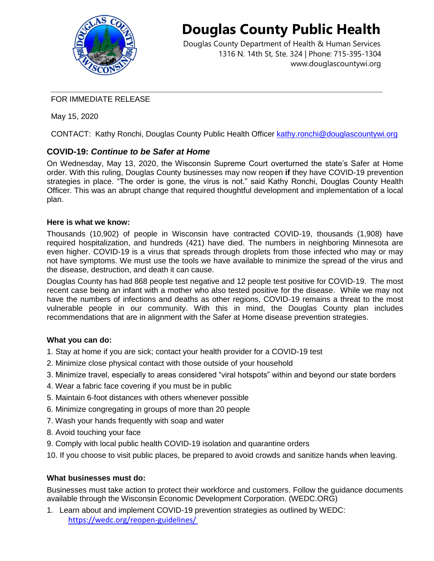

# **Douglas County Public Health**

Douglas County Department of Health & Human Services 1316 N. 14th St, Ste. 324 | Phone: 715-395-1304 [www.douglascountywi.org](http://www.douglascountywi.org/)

### FOR IMMEDIATE RELEASE

May 15, 2020

CONTACT: Kathy Ronchi, Douglas County Public Health Officer [kathy.ronchi@douglascountywi.org](mailto:kelli.engen@sccwi.gov)

# **COVID-19:** *Continue to be Safer at Home*

On Wednesday, May 13, 2020, the Wisconsin Supreme Court overturned the state's Safer at Home order. With this ruling, Douglas County businesses may now reopen **if** they have COVID-19 prevention strategies in place. "The order is gone, the virus is not." said Kathy Ronchi, Douglas County Health Officer. This was an abrupt change that required thoughtful development and implementation of a local plan.

### **Here is what we know:**

Thousands (10,902) of people in Wisconsin have contracted COVID-19, thousands (1,908) have required hospitalization, and hundreds (421) have died. The numbers in neighboring Minnesota are even higher. COVID-19 is a virus that spreads through droplets from those infected who may or may not have symptoms. We must use the tools we have available to minimize the spread of the virus and the disease, destruction, and death it can cause.

Douglas County has had 868 people test negative and 12 people test positive for COVID-19. The most recent case being an infant with a mother who also tested positive for the disease. While we may not have the numbers of infections and deaths as other regions, COVID-19 remains a threat to the most vulnerable people in our community. With this in mind, the Douglas County plan includes recommendations that are in alignment with the Safer at Home disease prevention strategies.

#### **What you can do:**

- 1. Stay at home if you are sick; contact your health provider for a COVID-19 test
- 2. Minimize close physical contact with those outside of your household
- 3. Minimize travel, especially to areas considered "viral hotspots" within and beyond our state borders
- 4. Wear a fabric face covering if you must be in public
- 5. Maintain 6-foot distances with others whenever possible
- 6. Minimize congregating in groups of more than 20 people
- 7. Wash your hands frequently with soap and water
- 8. Avoid touching your face
- 9. Comply with local public health COVID-19 isolation and quarantine orders
- 10. If you choose to visit public places, be prepared to avoid crowds and sanitize hands when leaving.

## **What businesses must do:**

Businesses must take action to protect their workforce and customers. Follow the guidance documents available through the Wisconsin Economic Development Corporation. (WEDC.ORG)

1. Learn about and implement COVID-19 prevention strategies as outlined by WEDC: <https://wedc.org/reopen-guidelines/>